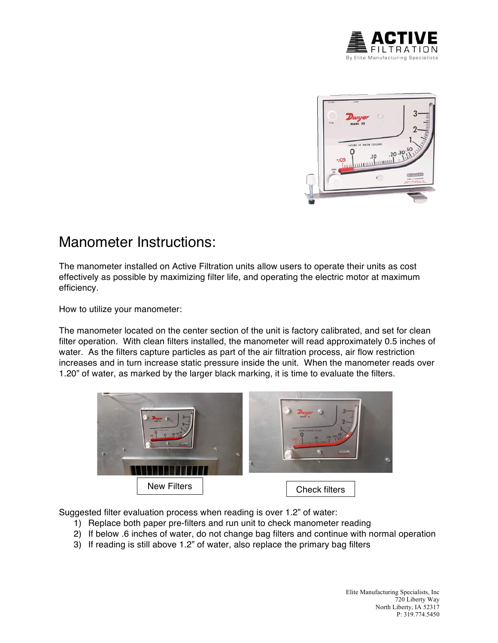



## Manometer Instructions:

The manometer installed on Active Filtration units allow users to operate their units as cost effectively as possible by maximizing filter life, and operating the electric motor at maximum efficiency.

How to utilize your manometer:

The manometer located on the center section of the unit is factory calibrated, and set for clean filter operation. With clean filters installed, the manometer will read approximately 0.5 inches of water. As the filters capture particles as part of the air filtration process, air flow restriction increases and in turn increase static pressure inside the unit. When the manometer reads over 1.20" of water, as marked by the larger black marking, it is time to evaluate the filters.



Suggested filter evaluation process when reading is over 1.2" of water:

- 1) Replace both paper pre-filters and run unit to check manometer reading
- 2) If below .6 inches of water, do not change bag filters and continue with normal operation
- 3) If reading is still above 1.2" of water, also replace the primary bag filters